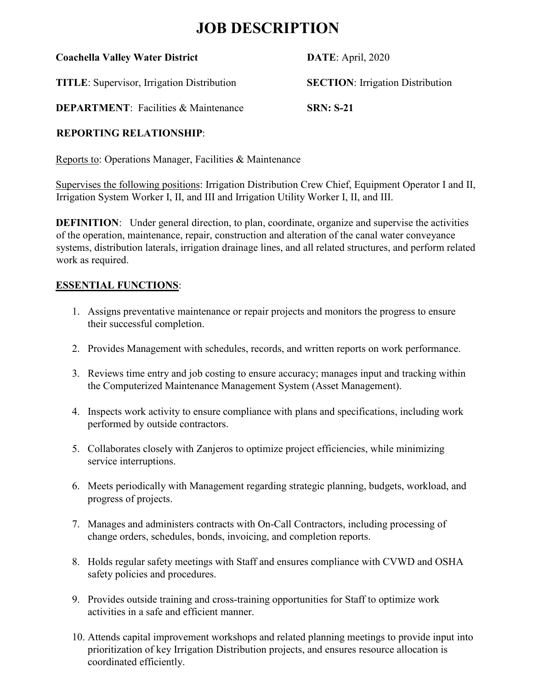## **JOB DESCRIPTION**

| <b>Coachella Valley Water District</b> |  |  |  |
|----------------------------------------|--|--|--|
|----------------------------------------|--|--|--|

**DATE**: April, 2020

**TITLE**: Supervisor, Irrigation Distribution **SECTION**: Irrigation Distribution

**DEPARTMENT**: Facilities & Maintenance **SRN: S-21**

## **REPORTING RELATIONSHIP**:

Reports to: Operations Manager, Facilities & Maintenance

Supervises the following positions: Irrigation Distribution Crew Chief, Equipment Operator I and II, Irrigation System Worker I, II, and III and Irrigation Utility Worker I, II, and III.

**DEFINITION:** Under general direction, to plan, coordinate, organize and supervise the activities of the operation, maintenance, repair, construction and alteration of the canal water conveyance systems, distribution laterals, irrigation drainage lines, and all related structures, and perform related work as required.

## **ESSENTIAL FUNCTIONS**:

- 1. Assigns preventative maintenance or repair projects and monitors the progress to ensure their successful completion.
- 2. Provides Management with schedules, records, and written reports on work performance.
- 3. Reviews time entry and job costing to ensure accuracy; manages input and tracking within the Computerized Maintenance Management System (Asset Management).
- 4. Inspects work activity to ensure compliance with plans and specifications, including work performed by outside contractors.
- 5. Collaborates closely with Zanjeros to optimize project efficiencies, while minimizing service interruptions.
- 6. Meets periodically with Management regarding strategic planning, budgets, workload, and progress of projects.
- 7. Manages and administers contracts with On-Call Contractors, including processing of change orders, schedules, bonds, invoicing, and completion reports.
- 8. Holds regular safety meetings with Staff and ensures compliance with CVWD and OSHA safety policies and procedures.
- 9. Provides outside training and cross-training opportunities for Staff to optimize work activities in a safe and efficient manner.
- 10. Attends capital improvement workshops and related planning meetings to provide input into prioritization of key Irrigation Distribution projects, and ensures resource allocation is coordinated efficiently.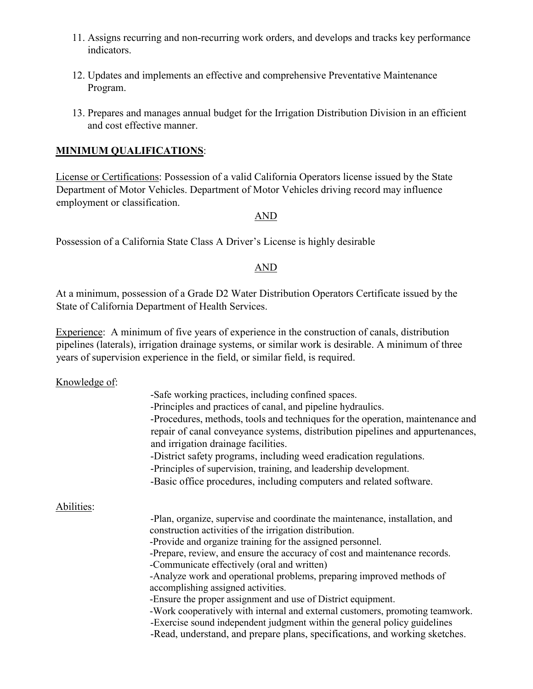- 11. Assigns recurring and non-recurring work orders, and develops and tracks key performance indicators.
- 12. Updates and implements an effective and comprehensive Preventative Maintenance Program.
- 13. Prepares and manages annual budget for the Irrigation Distribution Division in an efficient and cost effective manner.

#### **MINIMUM QUALIFICATIONS**:

License or Certifications: Possession of a valid California Operators license issued by the State Department of Motor Vehicles. Department of Motor Vehicles driving record may influence employment or classification.

#### AND

Possession of a California State Class A Driver's License is highly desirable

#### AND

At a minimum, possession of a Grade D2 Water Distribution Operators Certificate issued by the State of California Department of Health Services.

Experience: A minimum of five years of experience in the construction of canals, distribution pipelines (laterals), irrigation drainage systems, or similar work is desirable. A minimum of three years of supervision experience in the field, or similar field, is required.

Knowledge of:

|            | -Safe working practices, including confined spaces.                                                                                                                                        |  |  |
|------------|--------------------------------------------------------------------------------------------------------------------------------------------------------------------------------------------|--|--|
|            | -Principles and practices of canal, and pipeline hydraulics.                                                                                                                               |  |  |
|            | -Procedures, methods, tools and techniques for the operation, maintenance and                                                                                                              |  |  |
|            | repair of canal conveyance systems, distribution pipelines and appurtenances,<br>and irrigation drainage facilities.<br>-District safety programs, including weed eradication regulations. |  |  |
|            |                                                                                                                                                                                            |  |  |
|            |                                                                                                                                                                                            |  |  |
|            | -Principles of supervision, training, and leadership development.                                                                                                                          |  |  |
|            | -Basic office procedures, including computers and related software.                                                                                                                        |  |  |
| Abilities: |                                                                                                                                                                                            |  |  |
|            | -Plan, organize, supervise and coordinate the maintenance, installation, and                                                                                                               |  |  |
|            | construction activities of the irrigation distribution.                                                                                                                                    |  |  |
|            | -Provide and organize training for the assigned personnel.                                                                                                                                 |  |  |
|            | -Prepare, review, and ensure the accuracy of cost and maintenance records.                                                                                                                 |  |  |
|            | -Communicate effectively (oral and written)                                                                                                                                                |  |  |
|            | -Analyze work and operational problems, preparing improved methods of                                                                                                                      |  |  |
|            | accomplishing assigned activities.                                                                                                                                                         |  |  |
|            | -Ensure the proper assignment and use of District equipment.                                                                                                                               |  |  |
|            | -Work cooperatively with internal and external customers, promoting teamwork.                                                                                                              |  |  |
|            | -Exercise sound independent judgment within the general policy guidelines                                                                                                                  |  |  |
|            | -Read, understand, and prepare plans, specifications, and working sketches.                                                                                                                |  |  |